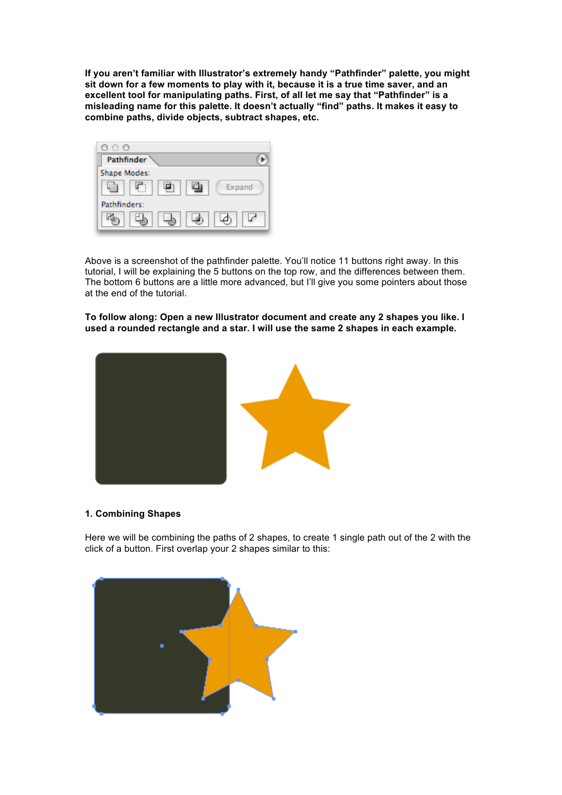**If you aren't familiar with Illustrator's extremely handy "Pathfinder" palette, you might sit down for a few moments to play with it, because it is a true time saver, and an excellent tool for manipulating paths. First, of all let me say that "Pathfinder" is a misleading name for this palette. It doesn't actually "find" paths. It makes it easy to combine paths, divide objects, subtract shapes, etc.**



Above is a screenshot of the pathfinder palette. You'll notice 11 buttons right away. In this tutorial, I will be explaining the 5 buttons on the top row, and the differences between them. The bottom 6 buttons are a little more advanced, but I'll give you some pointers about those at the end of the tutorial.

**To follow along: Open a new Illustrator document and create any 2 shapes you like. I used a rounded rectangle and a star. I will use the same 2 shapes in each example.**



### **1. Combining Shapes**

Here we will be combining the paths of 2 shapes, to create 1 single path out of the 2 with the click of a button. First overlap your 2 shapes similar to this:

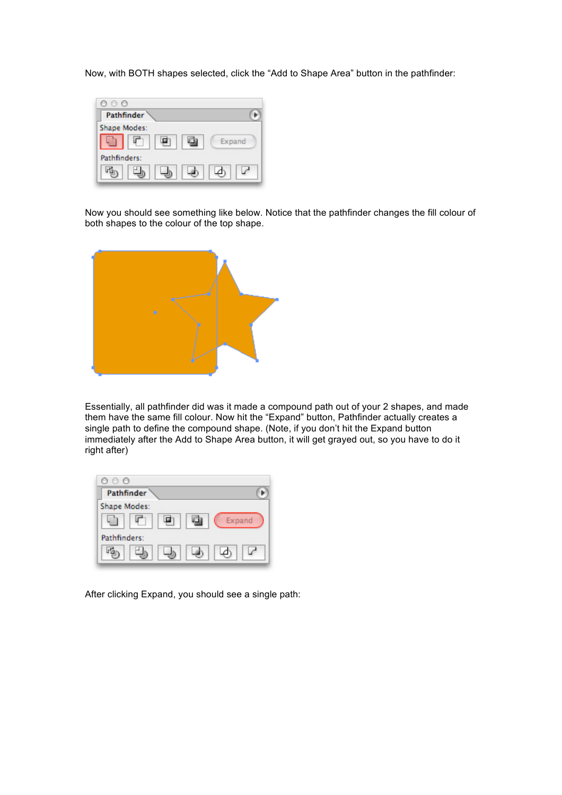Now, with BOTH shapes selected, click the "Add to Shape Area" button in the pathfinder:



Now you should see something like below. Notice that the pathfinder changes the fill colour of both shapes to the colour of the top shape.



Essentially, all pathfinder did was it made a compound path out of your 2 shapes, and made them have the same fill colour. Now hit the "Expand" button, Pathfinder actually creates a single path to define the compound shape. (Note, if you don't hit the Expand button immediately after the Add to Shape Area button, it will get grayed out, so you have to do it right after)



After clicking Expand, you should see a single path: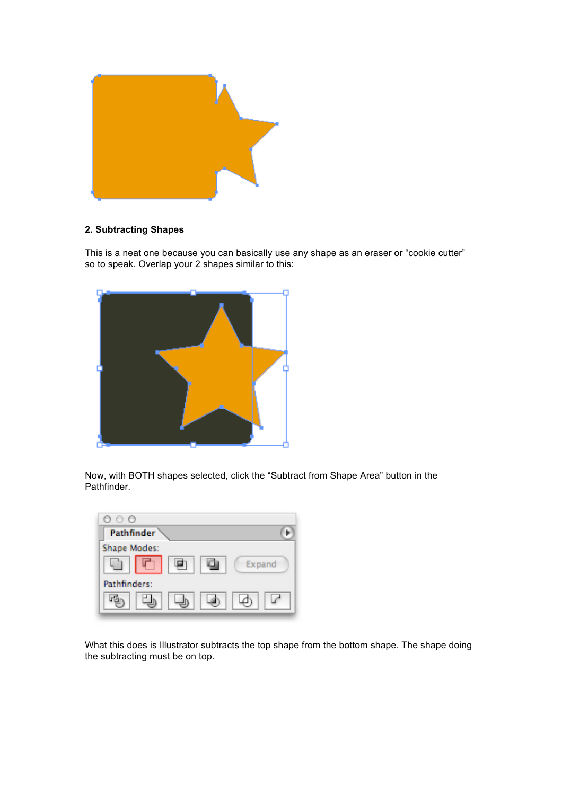

# **2. Subtracting Shapes**

This is a neat one because you can basically use any shape as an eraser or "cookie cutter" so to speak. Overlap your 2 shapes similar to this:



Now, with BOTH shapes selected, click the "Subtract from Shape Area" button in the Pathfinder.

| 000                 |        |
|---------------------|--------|
| <b>Pathfinder</b>   |        |
| <b>Shape Modes:</b> |        |
|                     | Expand |
| Pathfinders:        |        |
|                     |        |

What this does is Illustrator subtracts the top shape from the bottom shape. The shape doing the subtracting must be on top.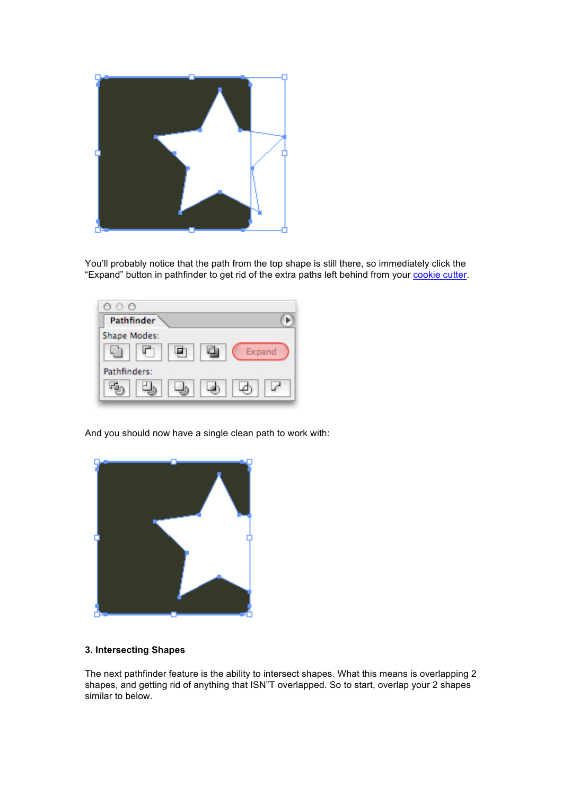

You'll probably notice that the path from the top shape is still there, so immediately click the "Expand" button in pathfinder to get rid of the extra paths left behind from your cookie cutter.

| 000                 |  |
|---------------------|--|
| <b>Pathfinder</b>   |  |
| <b>Shape Modes:</b> |  |
| Expand              |  |
| Pathfinders:        |  |
|                     |  |

And you should now have a single clean path to work with:



### **3. Intersecting Shapes**

The next pathfinder feature is the ability to intersect shapes. What this means is overlapping 2 shapes, and getting rid of anything that ISN"T overlapped. So to start, overlap your 2 shapes similar to below.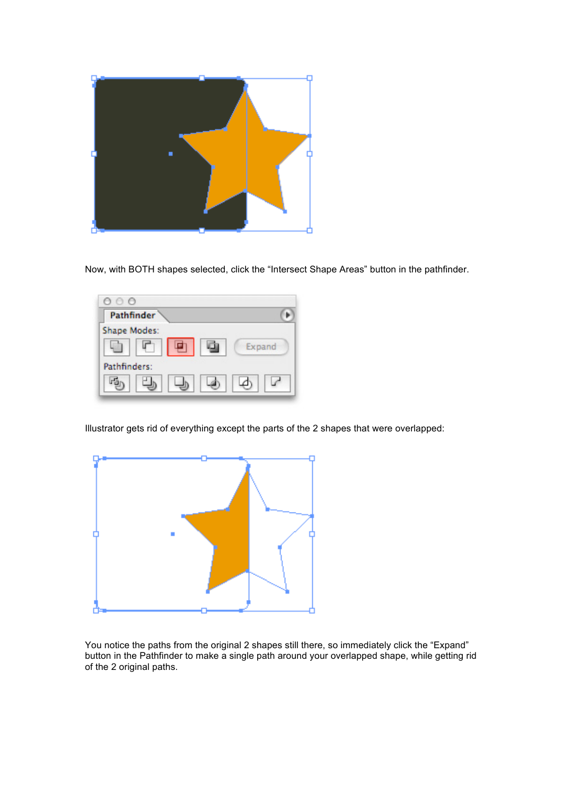

Now, with BOTH shapes selected, click the "Intersect Shape Areas" button in the pathfinder.



Illustrator gets rid of everything except the parts of the 2 shapes that were overlapped:



You notice the paths from the original 2 shapes still there, so immediately click the "Expand" button in the Pathfinder to make a single path around your overlapped shape, while getting rid of the 2 original paths.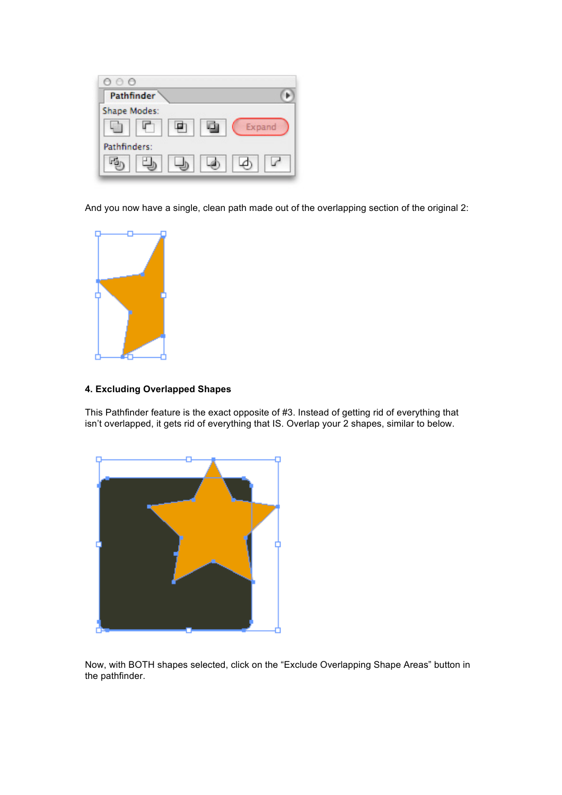

And you now have a single, clean path made out of the overlapping section of the original 2:



# **4. Excluding Overlapped Shapes**

This Pathfinder feature is the exact opposite of #3. Instead of getting rid of everything that isn't overlapped, it gets rid of everything that IS. Overlap your 2 shapes, similar to below.



Now, with BOTH shapes selected, click on the "Exclude Overlapping Shape Areas" button in the pathfinder.